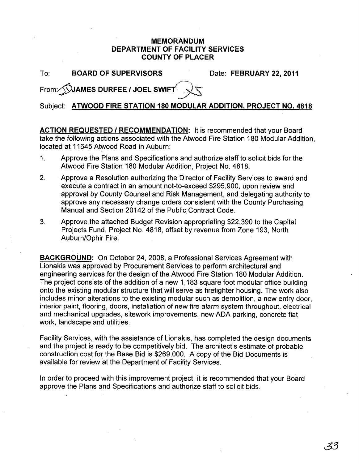## MEMORANDUM DEPARTMENT OF FACILITY SERVICES COUNTY OF PLACER

To: BOARD OF SUPERVISORS Date: FEBRUARY 22, 2011

From: SUAMES DURFEE / JOEL SWIFT

Subject: ATWOOD FIRE STATION 180 MODULAR ADDITION. PROJECT NO. 4818

ACTION REQUESTED / RECOMMENDATION: It is recommended that your Board take the following actions associated with the Atwood Fire Station 180 Modular Addition, located at 11645 Atwood Road in Auburn:

- 1. Approve the Plans and Specifications and authorize staff to solicit bids for the Atwood Fire Station 180 Modular Addition, Project No. 4818.
- 2. Approve a Resolution authorizing the Director of Facility Services to award and execute a contract in an amount not-to-exceed \$295,900, upon review and approval by County Counsel and Risk Management, and delegating authority to approve any necessary change orders consistent with the County Purchasing Manual and Section 20142 of the Public Contract Code.
- 3. Approve the attached Budget Revision appropriating \$22,390 to the Capital Projects Fund, Project No. 4818, offset by revenue from Zone 193, North Auburn/Ophir Fire.

BACKGROUND: On October 24, 2008, a Professional Services Agreement with Lionakis was approved by Procurement Services to perform architectural and engineering services for the design of the Atwood Fire Station 180 Modular Addition. The project consists of the addition of a new 1,183 square foot modular office building onto the existing modular structure that will serve as firefighter housing. The work also includes minor alterations to the existing modular such as demolition, a new entry door, interior paint, flooring, doors, installation of new fire alarm system throughout, electrical and mechanical upgrades, sitework improvements, new ADA parking, concrete flat work, landscape and utilities.

Facility Services, with the assistance of Lionakis, has completed the design documents and the project is ready to be competitively bid. The architect's estimate of probable construction cost for the Base Bid is \$269,000. A copy of the Bid Documents is available for review at the Department of Facility Services.

In order to proceed with this improvement project, it is recommended that your Board approve the Plans and Specifications and authorize staff to solicit bids.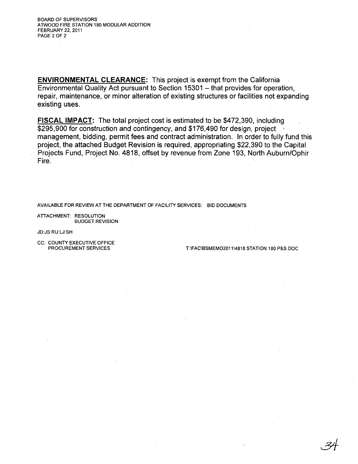BOARD OF SUPERVISORS ATWOOD FIRE STATION 180 MODULAR ADDITION FEBRUARY 22, 2011 PAGE 2 OF 2

**ENVIRONMENTAL CLEARANCE:** This project is exempt from the California Environmental Quality Act pursuant to Section 15301 - that provides for operation, repair, maintenance, or minor alteration of existing structures or facilities not expanding existing uses.

**FISCAL IMPACT:** The total project cost is estimated to be \$472,390, including \$295,900 for construction and contingency, and \$176,490 for design, project ' management, bidding, permit fees and contract administration. In order to fully fund this project, the attached Budget Revision is required, appropriating \$22,390 to the Capital Projects Fund, Project No. 4818, offset by revenue from Zone 193, North Auburn/Ophir· Fire.

AVAILABLE FOR REVIEW AT THE DEPARTMENT OF FACILITY SERVICES: BID DOCUMENTS

ATTACHMENT: RESOLUTION BUDGET REVISION

JD:JS:RU:LJ:SH

CC: COUNTY EXECUTIVE OFFICE<br>PROCUREMENT SERVICES

T:\FAC\BSMEMO2011\4818 STATION 180 P&S.DOC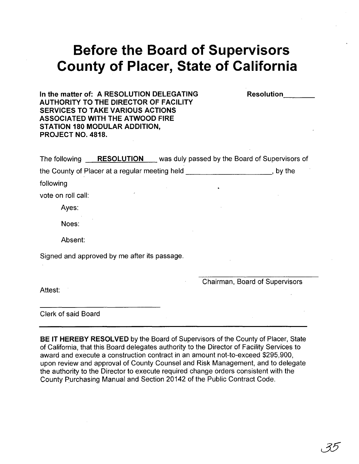## **Before the Board of Supervisors County of Placer, State of California**

**Resolution** 

**In the matter of: A RESOLUTION DELEGATING AUTHORITY TO THE DIRECTOR OF FACILITY SERVICES TO TAKE VARIOUS ACTIONS ASSOCIATED WITH THE ATWOOD FIRE STATION 180 MODULAR ADDITION, PROJECT NO. 4818.** 

| The following                                |                                                |  | <b>RESOLUTION</b> was duly passed by the Board of Supervisors of |  |  |  |  |  |  |  |  |
|----------------------------------------------|------------------------------------------------|--|------------------------------------------------------------------|--|--|--|--|--|--|--|--|
|                                              | the County of Placer at a regular meeting held |  | by the                                                           |  |  |  |  |  |  |  |  |
| following                                    |                                                |  |                                                                  |  |  |  |  |  |  |  |  |
| vote on roll call:                           |                                                |  |                                                                  |  |  |  |  |  |  |  |  |
| Ayes:                                        |                                                |  |                                                                  |  |  |  |  |  |  |  |  |
| Noes:                                        |                                                |  |                                                                  |  |  |  |  |  |  |  |  |
| Absent:                                      |                                                |  |                                                                  |  |  |  |  |  |  |  |  |
| Signed and approved by me after its passage. |                                                |  |                                                                  |  |  |  |  |  |  |  |  |
|                                              |                                                |  |                                                                  |  |  |  |  |  |  |  |  |
| Attest:                                      |                                                |  | Chairman, Board of Supervisors                                   |  |  |  |  |  |  |  |  |
|                                              |                                                |  |                                                                  |  |  |  |  |  |  |  |  |

Clerk of said Board

**BE IT HEREBY RESOLVED** by the Board of Supervisors of the County of Placer, State of California, that this Board delegates authority to the Director of Facility Services to award and execute a construction contract in an amount not-to-exceed \$295,900, upon review and approval of County Counsel and Risk Management, and to delegate the authority to the Director to execute required change orders consistent with the County purchasing Manual and Section 20142 of the Public Contract Code.